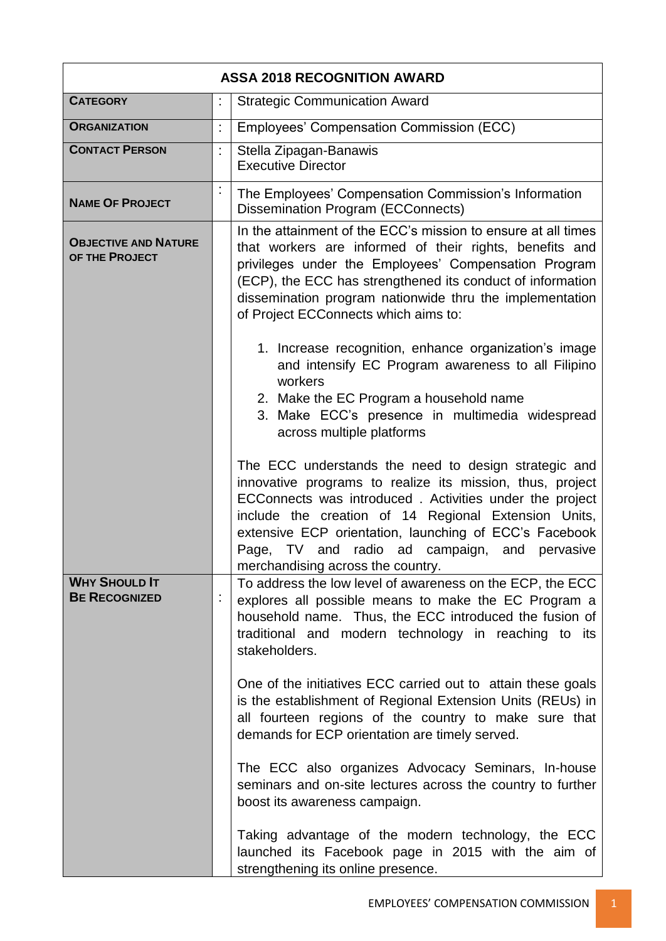| <b>ASSA 2018 RECOGNITION AWARD</b>            |    |                                                                                                                                                                                                                                                                                                                                                                                                                                                                                                                                                                                                                                                                                                                                                                                                       |  |
|-----------------------------------------------|----|-------------------------------------------------------------------------------------------------------------------------------------------------------------------------------------------------------------------------------------------------------------------------------------------------------------------------------------------------------------------------------------------------------------------------------------------------------------------------------------------------------------------------------------------------------------------------------------------------------------------------------------------------------------------------------------------------------------------------------------------------------------------------------------------------------|--|
| <b>CATEGORY</b>                               |    | <b>Strategic Communication Award</b>                                                                                                                                                                                                                                                                                                                                                                                                                                                                                                                                                                                                                                                                                                                                                                  |  |
| <b>ORGANIZATION</b>                           | t. | Employees' Compensation Commission (ECC)                                                                                                                                                                                                                                                                                                                                                                                                                                                                                                                                                                                                                                                                                                                                                              |  |
| <b>CONTACT PERSON</b>                         | ÷. | Stella Zipagan-Banawis<br><b>Executive Director</b>                                                                                                                                                                                                                                                                                                                                                                                                                                                                                                                                                                                                                                                                                                                                                   |  |
| <b>NAME OF PROJECT</b>                        | t, | The Employees' Compensation Commission's Information<br><b>Dissemination Program (ECConnects)</b>                                                                                                                                                                                                                                                                                                                                                                                                                                                                                                                                                                                                                                                                                                     |  |
| <b>OBJECTIVE AND NATURE</b><br>OF THE PROJECT |    | In the attainment of the ECC's mission to ensure at all times<br>that workers are informed of their rights, benefits and<br>privileges under the Employees' Compensation Program<br>(ECP), the ECC has strengthened its conduct of information<br>dissemination program nationwide thru the implementation<br>of Project ECConnects which aims to:<br>1. Increase recognition, enhance organization's image<br>and intensify EC Program awareness to all Filipino<br>workers<br>2. Make the EC Program a household name                                                                                                                                                                                                                                                                               |  |
|                                               |    | 3. Make ECC's presence in multimedia widespread<br>across multiple platforms<br>The ECC understands the need to design strategic and<br>innovative programs to realize its mission, thus, project<br>ECConnects was introduced. Activities under the project<br>include the creation of 14 Regional Extension Units,<br>extensive ECP orientation, launching of ECC's Facebook<br>Page, TV and radio ad campaign, and<br>pervasive<br>merchandising across the country.                                                                                                                                                                                                                                                                                                                               |  |
| <b>WHY SHOULD IT</b><br><b>BE RECOGNIZED</b>  |    | To address the low level of awareness on the ECP, the ECC<br>explores all possible means to make the EC Program a<br>household name. Thus, the ECC introduced the fusion of<br>traditional and modern technology in reaching to its<br>stakeholders.<br>One of the initiatives ECC carried out to attain these goals<br>is the establishment of Regional Extension Units (REUs) in<br>all fourteen regions of the country to make sure that<br>demands for ECP orientation are timely served.<br>The ECC also organizes Advocacy Seminars, In-house<br>seminars and on-site lectures across the country to further<br>boost its awareness campaign.<br>Taking advantage of the modern technology, the ECC<br>launched its Facebook page in 2015 with the aim of<br>strengthening its online presence. |  |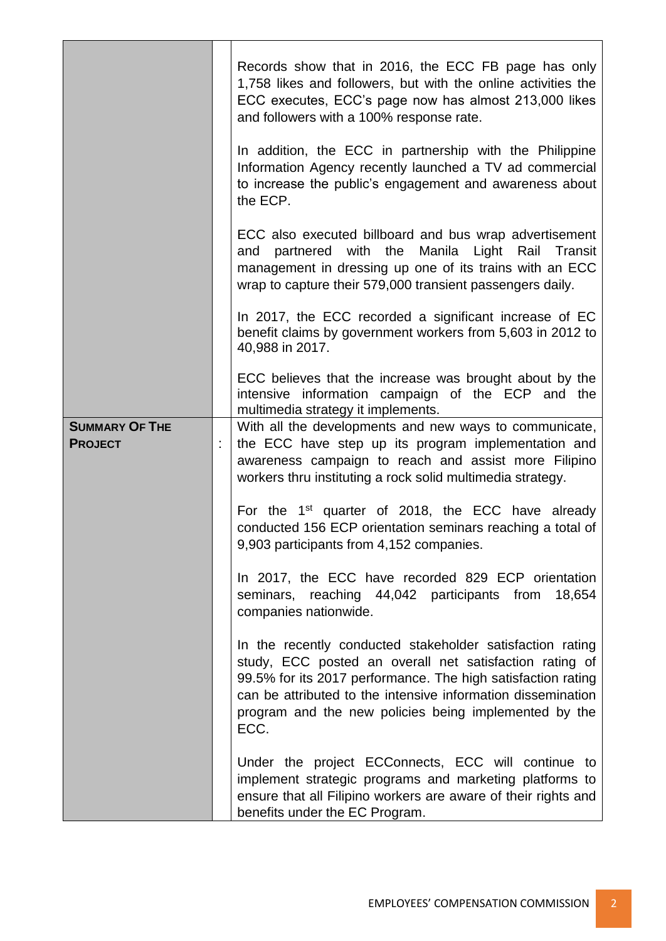|                                         | Records show that in 2016, the ECC FB page has only<br>1,758 likes and followers, but with the online activities the<br>ECC executes, ECC's page now has almost 213,000 likes<br>and followers with a 100% response rate.<br>In addition, the ECC in partnership with the Philippine<br>Information Agency recently launched a TV ad commercial<br>to increase the public's engagement and awareness about<br>the ECP. |
|-----------------------------------------|------------------------------------------------------------------------------------------------------------------------------------------------------------------------------------------------------------------------------------------------------------------------------------------------------------------------------------------------------------------------------------------------------------------------|
|                                         | ECC also executed billboard and bus wrap advertisement<br>and partnered with the Manila Light Rail Transit<br>management in dressing up one of its trains with an ECC<br>wrap to capture their 579,000 transient passengers daily.                                                                                                                                                                                     |
|                                         | In 2017, the ECC recorded a significant increase of EC<br>benefit claims by government workers from 5,603 in 2012 to<br>40,988 in 2017.                                                                                                                                                                                                                                                                                |
|                                         | ECC believes that the increase was brought about by the<br>intensive information campaign of the ECP and the<br>multimedia strategy it implements.                                                                                                                                                                                                                                                                     |
| <b>SUMMARY OF THE</b><br><b>PROJECT</b> | With all the developments and new ways to communicate,<br>the ECC have step up its program implementation and<br>awareness campaign to reach and assist more Filipino<br>workers thru instituting a rock solid multimedia strategy.                                                                                                                                                                                    |
|                                         | For the 1 <sup>st</sup> quarter of 2018, the ECC have already<br>conducted 156 ECP orientation seminars reaching a total of<br>9,903 participants from 4,152 companies.                                                                                                                                                                                                                                                |
|                                         | In 2017, the ECC have recorded 829 ECP orientation<br>18,654<br>seminars, reaching 44,042 participants from<br>companies nationwide.                                                                                                                                                                                                                                                                                   |
|                                         | In the recently conducted stakeholder satisfaction rating<br>study, ECC posted an overall net satisfaction rating of<br>99.5% for its 2017 performance. The high satisfaction rating<br>can be attributed to the intensive information dissemination<br>program and the new policies being implemented by the<br>ECC.                                                                                                  |
|                                         | Under the project ECConnects, ECC will continue to<br>implement strategic programs and marketing platforms to<br>ensure that all Filipino workers are aware of their rights and<br>benefits under the EC Program.                                                                                                                                                                                                      |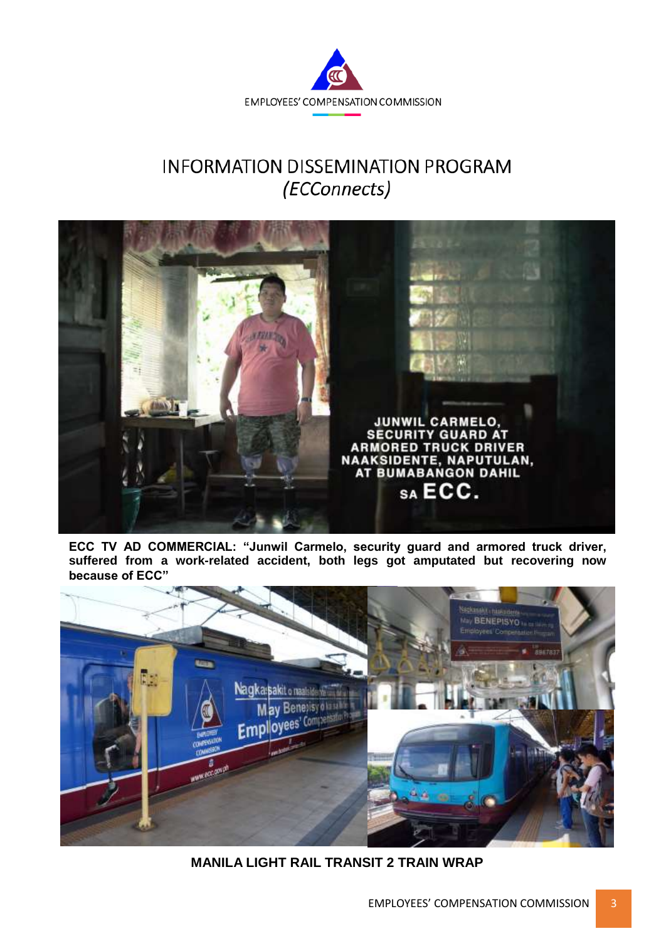

## **INFORMATION DISSEMINATION PROGRAM** (ECConnects)



**ECC TV AD COMMERCIAL: "Junwil Carmelo, security guard and armored truck driver, suffered from a work-related accident, both legs got amputated but recovering now because of ECC"** 



**MANILA LIGHT RAIL TRANSIT 2 TRAIN WRAP**